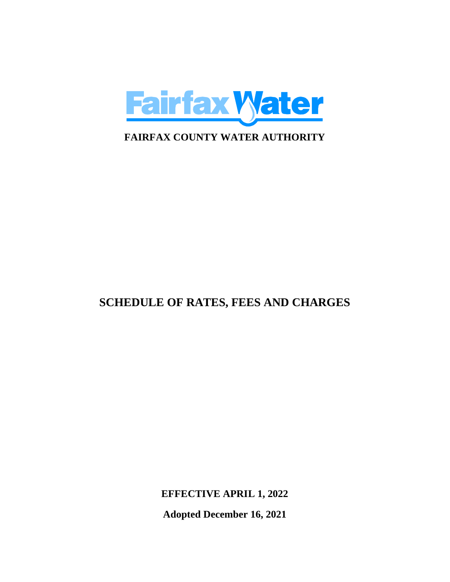

# **SCHEDULE OF RATES, FEES AND CHARGES**

**EFFECTIVE APRIL 1, 2022**

**Adopted December 16, 2021**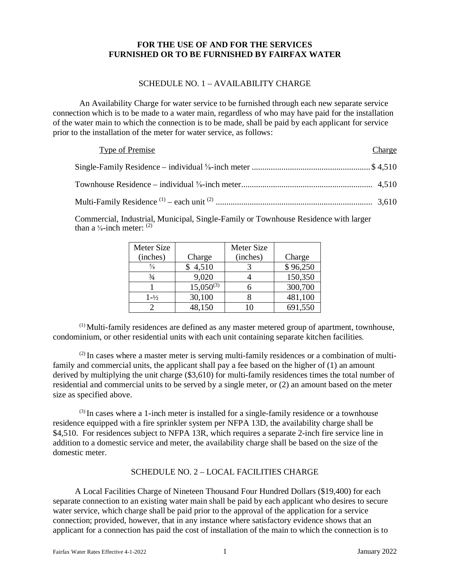# **FOR THE USE OF AND FOR THE SERVICES FURNISHED OR TO BE FURNISHED BY FAIRFAX WATER**

#### SCHEDULE NO. 1 – AVAILABILITY CHARGE

An Availability Charge for water service to be furnished through each new separate service connection which is to be made to a water main, regardless of who may have paid for the installation of the water main to which the connection is to be made, shall be paid by each applicant for service prior to the installation of the meter for water service, as follows:

| Type of Premise | Charge |
|-----------------|--------|
|                 |        |
|                 |        |
|                 |        |

Commercial, Industrial, Municipal, Single-Family or Townhouse Residence with larger than a  $\frac{5}{8}$ -inch meter:  $(2)$ 

| Meter Size        |                | <b>Meter Size</b> |          |
|-------------------|----------------|-------------------|----------|
| (inches)          | Charge         | (inches)          | Charge   |
| $\frac{5}{8}$     | 4,510          |                   | \$96,250 |
| $^{3/4}$          | 9,020          |                   | 150,350  |
|                   | $15,050^{(3)}$ |                   | 300,700  |
| $1 - \frac{1}{2}$ | 30,100         |                   | 481,100  |
|                   | 48,150         |                   | 691,550  |

 $<sup>(1)</sup>$  Multi-family residences are defined as any master metered group of apartment, townhouse,</sup> condominium, or other residential units with each unit containing separate kitchen facilities.

 $^{(2)}$  In cases where a master meter is serving multi-family residences or a combination of multifamily and commercial units, the applicant shall pay a fee based on the higher of (1) an amount derived by multiplying the unit charge (\$3,610) for multi-family residences times the total number of residential and commercial units to be served by a single meter, or (2) an amount based on the meter size as specified above.

 $<sup>(3)</sup>$  In cases where a 1-inch meter is installed for a single-family residence or a townhouse</sup> residence equipped with a fire sprinkler system per NFPA 13D, the availability charge shall be \$4,510. For residences subject to NFPA 13R, which requires a separate 2-inch fire service line in addition to a domestic service and meter, the availability charge shall be based on the size of the domestic meter.

#### SCHEDULE NO. 2 – LOCAL FACILITIES CHARGE

A Local Facilities Charge of Nineteen Thousand Four Hundred Dollars (\$19,400) for each separate connection to an existing water main shall be paid by each applicant who desires to secure water service, which charge shall be paid prior to the approval of the application for a service connection; provided, however, that in any instance where satisfactory evidence shows that an applicant for a connection has paid the cost of installation of the main to which the connection is to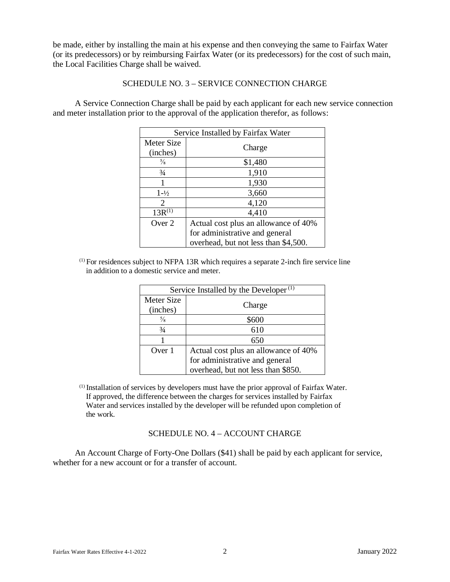be made, either by installing the main at his expense and then conveying the same to Fairfax Water (or its predecessors) or by reimbursing Fairfax Water (or its predecessors) for the cost of such main, the Local Facilities Charge shall be waived.

#### SCHEDULE NO. 3 – SERVICE CONNECTION CHARGE

A Service Connection Charge shall be paid by each applicant for each new service connection and meter installation prior to the approval of the application therefor, as follows:

| Service Installed by Fairfax Water |                                      |  |
|------------------------------------|--------------------------------------|--|
| Meter Size                         |                                      |  |
| (inches)                           | Charge                               |  |
| $\frac{5}{8}$                      | \$1,480                              |  |
| $\frac{3}{4}$                      | 1,910                                |  |
|                                    | 1,930                                |  |
| $1 - \frac{1}{2}$                  | 3,660                                |  |
| $\mathcal{D}_{\cdot}$              | 4,120                                |  |
| $13R^{(1)}$                        | 4,410                                |  |
| Over 2                             | Actual cost plus an allowance of 40% |  |
|                                    | for administrative and general       |  |
|                                    | overhead, but not less than \$4,500. |  |

(1) For residences subject to NFPA 13R which requires a separate 2-inch fire service line in addition to a domestic service and meter.

| Service Installed by the Developer <sup><math>(1)</math></sup> |                                      |  |
|----------------------------------------------------------------|--------------------------------------|--|
| Meter Size                                                     | Charge                               |  |
| (inches)                                                       |                                      |  |
| $\frac{5}{8}$                                                  | \$600                                |  |
| $\frac{3}{4}$                                                  | 610                                  |  |
|                                                                | 650                                  |  |
| Over 1                                                         | Actual cost plus an allowance of 40% |  |
|                                                                | for administrative and general       |  |
|                                                                | overhead, but not less than \$850.   |  |

(1) Installation of services by developers must have the prior approval of Fairfax Water. If approved, the difference between the charges for services installed by Fairfax Water and services installed by the developer will be refunded upon completion of the work.

# SCHEDULE NO. 4 – ACCOUNT CHARGE

An Account Charge of Forty-One Dollars (\$41) shall be paid by each applicant for service, whether for a new account or for a transfer of account.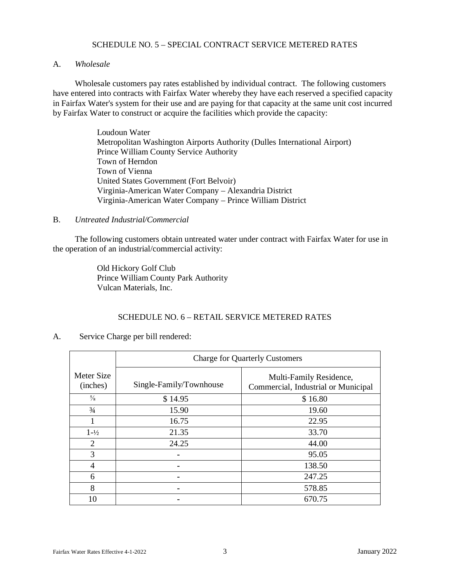#### SCHEDULE NO. 5 – SPECIAL CONTRACT SERVICE METERED RATES

#### A. *Wholesale*

Wholesale customers pay rates established by individual contract. The following customers have entered into contracts with Fairfax Water whereby they have each reserved a specified capacity in Fairfax Water's system for their use and are paying for that capacity at the same unit cost incurred by Fairfax Water to construct or acquire the facilities which provide the capacity:

> Loudoun Water Metropolitan Washington Airports Authority (Dulles International Airport) Prince William County Service Authority Town of Herndon Town of Vienna United States Government (Fort Belvoir) Virginia-American Water Company – Alexandria District Virginia-American Water Company – Prince William District

#### B. *Untreated Industrial/Commercial*

The following customers obtain untreated water under contract with Fairfax Water for use in the operation of an industrial/commercial activity:

> Old Hickory Golf Club Prince William County Park Authority Vulcan Materials, Inc.

# SCHEDULE NO. 6 – RETAIL SERVICE METERED RATES

A. Service Charge per bill rendered:

|                        | <b>Charge for Quarterly Customers</b> |                                                                |  |
|------------------------|---------------------------------------|----------------------------------------------------------------|--|
| Meter Size<br>(inches) | Single-Family/Townhouse               | Multi-Family Residence,<br>Commercial, Industrial or Municipal |  |
| $\frac{5}{8}$          | \$14.95                               | \$16.80                                                        |  |
| $\frac{3}{4}$          | 15.90                                 | 19.60                                                          |  |
|                        | 16.75                                 | 22.95                                                          |  |
| $1 - \frac{1}{2}$      | 21.35                                 | 33.70                                                          |  |
| 2                      | 24.25                                 | 44.00                                                          |  |
| 3                      |                                       | 95.05                                                          |  |
| 4                      |                                       | 138.50                                                         |  |
| 6                      |                                       | 247.25                                                         |  |
| 8                      |                                       | 578.85                                                         |  |
| 10                     |                                       | 670.75                                                         |  |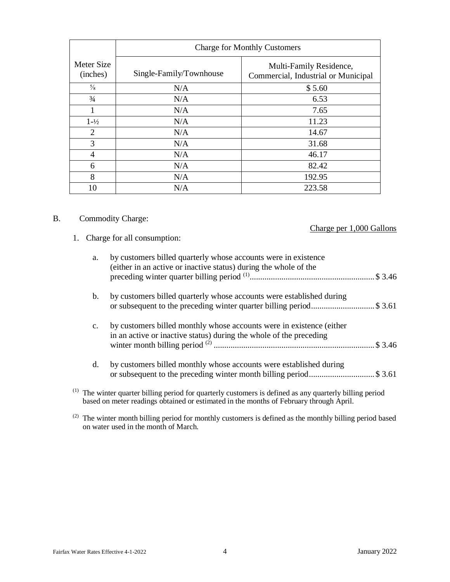|                        | <b>Charge for Monthly Customers</b> |                                                                |  |
|------------------------|-------------------------------------|----------------------------------------------------------------|--|
| Meter Size<br>(inches) | Single-Family/Townhouse             | Multi-Family Residence,<br>Commercial, Industrial or Municipal |  |
| $\frac{5}{8}$          | N/A                                 | \$5.60                                                         |  |
| $\frac{3}{4}$          | N/A                                 | 6.53                                                           |  |
| 1                      | N/A                                 | 7.65                                                           |  |
| $1 - \frac{1}{2}$      | N/A                                 | 11.23                                                          |  |
| 2                      | N/A                                 | 14.67                                                          |  |
| 3                      | N/A                                 | 31.68                                                          |  |
| 4                      | N/A                                 | 46.17                                                          |  |
| 6                      | N/A                                 | 82.42                                                          |  |
| 8                      | N/A                                 | 192.95                                                         |  |
| 10                     | N/A                                 | 223.58                                                         |  |

# B. Commodity Charge:

1. Charge for all consumption:

# Charge per 1,000 Gallons

| a.             | by customers billed quarterly whose accounts were in existence<br>(either in an active or inactive status) during the whole of the                                                                      |
|----------------|---------------------------------------------------------------------------------------------------------------------------------------------------------------------------------------------------------|
| $\mathbf{b}$ . | by customers billed quarterly whose accounts were established during<br>or subsequent to the preceding winter quarter billing period\$ 3.61                                                             |
| $\mathbf{c}$ . | by customers billed monthly whose accounts were in existence (either<br>in an active or inactive status) during the whole of the preceding                                                              |
| d.             | by customers billed monthly whose accounts were established during<br>or subsequent to the preceding winter month billing period\$ 3.61                                                                 |
|                | $^{(1)}$ The winter quarter billing period for quarterly customers is defined as any quarterly billing period<br>based on meter readings obtained or estimated in the months of February through April. |

 $^{(2)}$  The winter month billing period for monthly customers is defined as the monthly billing period based on water used in the month of March.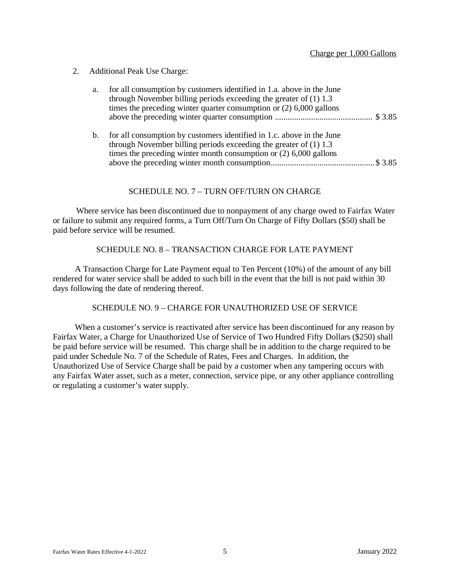2. Additional Peak Use Charge:

| a. | for all consumption by customers identified in 1.a. above in the June<br>through November billing periods exceeding the greater of $(1)$ 1.3<br>times the preceding winter quarter consumption or $(2)$ 6,000 gallons |  |
|----|-----------------------------------------------------------------------------------------------------------------------------------------------------------------------------------------------------------------------|--|
|    | b. for all consumption by customers identified in 1.c. above in the June<br>through November billing periods exceeding the greater of $(1)$ 1.3                                                                       |  |

through November billing periods exceeding the greater of (1) 1.3 times the preceding winter month consumption or (2) 6,000 gallons above the preceding winter month consumption ................................................. \$ 3.85

#### SCHEDULE NO. 7 – TURN OFF/TURN ON CHARGE

Where service has been discontinued due to nonpayment of any charge owed to Fairfax Water or failure to submit any required forms, a Turn Off/Turn On Charge of Fifty Dollars (\$50) shall be paid before service will be resumed.

#### SCHEDULE NO. 8 – TRANSACTION CHARGE FOR LATE PAYMENT

A Transaction Charge for Late Payment equal to Ten Percent (10%) of the amount of any bill rendered for water service shall be added to such bill in the event that the bill is not paid within 30 days following the date of rendering thereof.

# SCHEDULE NO. 9 – CHARGE FOR UNAUTHORIZED USE OF SERVICE

When a customer's service is reactivated after service has been discontinued for any reason by Fairfax Water, a Charge for Unauthorized Use of Service of Two Hundred Fifty Dollars (\$250) shall be paid before service will be resumed. This charge shall be in addition to the charge required to be paid under Schedule No. 7 of the Schedule of Rates, Fees and Charges. In addition, the Unauthorized Use of Service Charge shall be paid by a customer when any tampering occurs with any Fairfax Water asset, such as a meter, connection, service pipe, or any other appliance controlling or regulating a customer's water supply.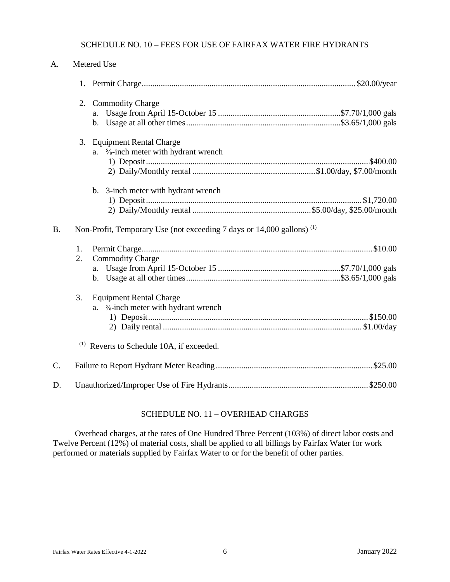# SCHEDULE NO. 10 – FEES FOR USE OF FAIRFAX WATER FIRE HYDRANTS

| A.        |          | Metered Use                                                                                                              |
|-----------|----------|--------------------------------------------------------------------------------------------------------------------------|
|           |          |                                                                                                                          |
|           | 2.       | <b>Commodity Charge</b>                                                                                                  |
|           |          | 3. Equipment Rental Charge<br>$\frac{5}{8}$ -inch meter with hydrant wrench<br>a.                                        |
| <b>B.</b> |          | b. 3-inch meter with hydrant wrench<br>Non-Profit, Temporary Use (not exceeding 7 days or 14,000 gallons) <sup>(1)</sup> |
|           |          |                                                                                                                          |
|           | 1.<br>2. | <b>Commodity Charge</b>                                                                                                  |
|           |          |                                                                                                                          |
|           | 3.       | <b>Equipment Rental Charge</b><br><b><sup>5</sup>/<sub>8</sub>-inch meter with hydrant wrench</b><br>a.                  |
|           |          | <sup>(1)</sup> Reverts to Schedule 10A, if exceeded.                                                                     |
| $C$ .     |          |                                                                                                                          |
| D.        |          |                                                                                                                          |

# SCHEDULE NO. 11 – OVERHEAD CHARGES

Overhead charges, at the rates of One Hundred Three Percent (103%) of direct labor costs and Twelve Percent (12%) of material costs, shall be applied to all billings by Fairfax Water for work performed or materials supplied by Fairfax Water to or for the benefit of other parties.